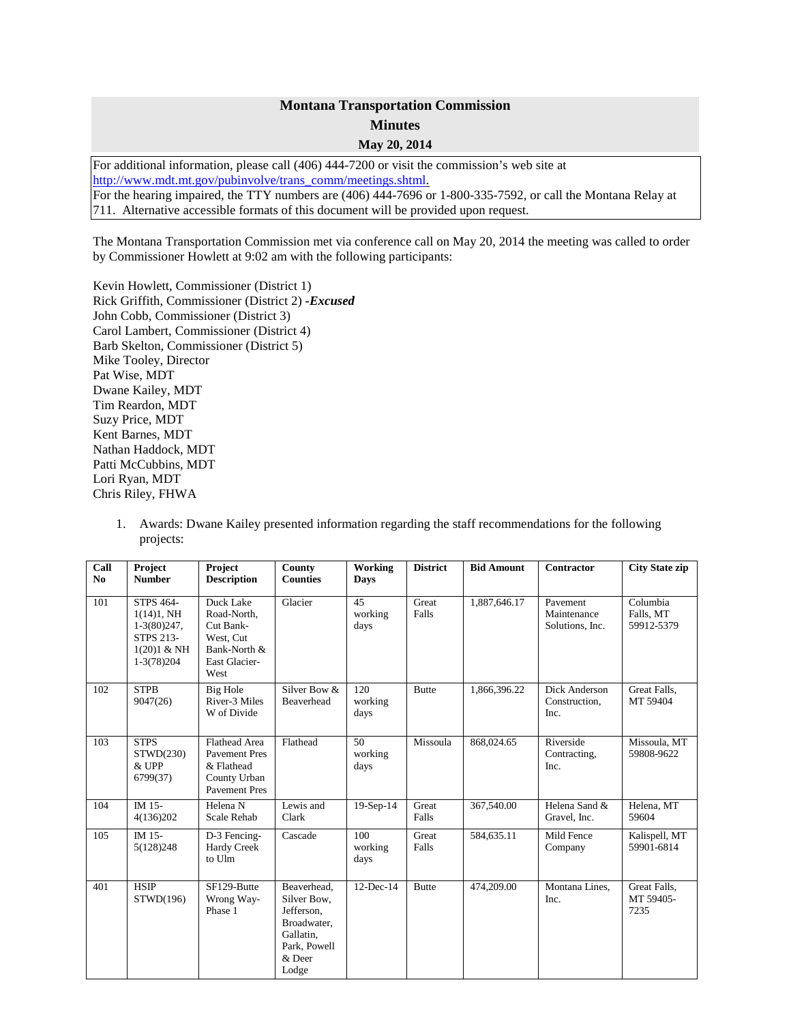## **Montana Transportation Commission Minutes May 20, 2014**

For additional information, please call (406) 444-7200 or visit the commission's web site at [http://www.mdt.mt.gov/pubinvolve/trans\\_comm/meetings.shtml.](http://www.mdt.mt.gov/pubinvolve/trans_comm/meetings.shtml) For the hearing impaired, the TTY numbers are (406) 444-7696 or 1-800-335-7592, or call the Montana Relay at 711. Alternative accessible formats of this document will be provided upon request.

The Montana Transportation Commission met via conference call on May 20, 2014 the meeting was called to order by Commissioner Howlett at 9:02 am with the following participants:

Kevin Howlett, Commissioner (District 1) Rick Griffith, Commissioner (District 2) *-Excused* John Cobb, Commissioner (District 3) Carol Lambert, Commissioner (District 4) Barb Skelton, Commissioner (District 5) Mike Tooley, Director Pat Wise, MDT Dwane Kailey, MDT Tim Reardon, MDT Suzy Price, MDT Kent Barnes, MDT Nathan Haddock, MDT Patti McCubbins, MDT Lori Ryan, MDT Chris Riley, FHWA

1. Awards: Dwane Kailey presented information regarding the staff recommendations for the following projects:

| Call<br>N <sub>0</sub> | Project<br><b>Number</b>                                                                                      | Project<br><b>Description</b>                                                                      | County<br><b>Counties</b>                                                                                 | Working<br><b>Days</b> | <b>District</b> | <b>Bid Amount</b> | Contractor                                 | <b>City State zip</b>               |
|------------------------|---------------------------------------------------------------------------------------------------------------|----------------------------------------------------------------------------------------------------|-----------------------------------------------------------------------------------------------------------|------------------------|-----------------|-------------------|--------------------------------------------|-------------------------------------|
|                        |                                                                                                               |                                                                                                    |                                                                                                           |                        |                 |                   |                                            |                                     |
| 101                    | <b>STPS 464-</b><br>$1(14)1, \text{NH}$<br>$1-3(80)247,$<br><b>STPS 213-</b><br>$1(20)1 &$ NH<br>$1-3(78)204$ | Duck Lake<br>Road-North,<br>Cut Bank-<br>West, Cut<br>Bank-North &<br>East Glacier-<br>West        | Glacier                                                                                                   | 45<br>working<br>days  | Great<br>Falls  | 1,887,646.17      | Pavement<br>Maintenance<br>Solutions, Inc. | Columbia<br>Falls, MT<br>59912-5379 |
| 102                    | <b>STPB</b><br>9047(26)                                                                                       | Big Hole<br>River-3 Miles<br>W of Divide                                                           | Silver Bow &<br>Beaverhead                                                                                | 120<br>working<br>days | <b>Butte</b>    | 1,866,396.22      | Dick Anderson<br>Construction,<br>Inc.     | Great Falls.<br>MT 59404            |
| 103                    | <b>STPS</b><br>STWD(230)<br>& UPP<br>6799(37)                                                                 | <b>Flathead Area</b><br><b>Pavement Pres</b><br>& Flathead<br>County Urban<br><b>Pavement Pres</b> | Flathead                                                                                                  | 50<br>working<br>days  | Missoula        | 868,024.65        | Riverside<br>Contracting,<br>Inc.          | Missoula, MT<br>59808-9622          |
| 104                    | IM 15-<br>4(136)202                                                                                           | Helena N<br>Scale Rehab                                                                            | Lewis and<br>Clark                                                                                        | $19-Sep-14$            | Great<br>Falls  | 367,540.00        | Helena Sand &<br>Gravel. Inc.              | Helena, MT<br>59604                 |
| 105                    | IM 15-<br>5(128)248                                                                                           | D-3 Fencing-<br><b>Hardy Creek</b><br>to Ulm                                                       | Cascade                                                                                                   | 100<br>working<br>days | Great<br>Falls  | 584,635.11        | Mild Fence<br>Company                      | Kalispell, MT<br>59901-6814         |
| 401                    | <b>HSIP</b><br>STWD(196)                                                                                      | SF129-Butte<br>Wrong Way-<br>Phase 1                                                               | Beaverhead.<br>Silver Bow,<br>Jefferson,<br>Broadwater,<br>Gallatin,<br>Park, Powell<br>$&$ Deer<br>Lodge | 12-Dec-14              | <b>Butte</b>    | 474,209.00        | Montana Lines,<br>Inc.                     | Great Falls,<br>MT 59405-<br>7235   |